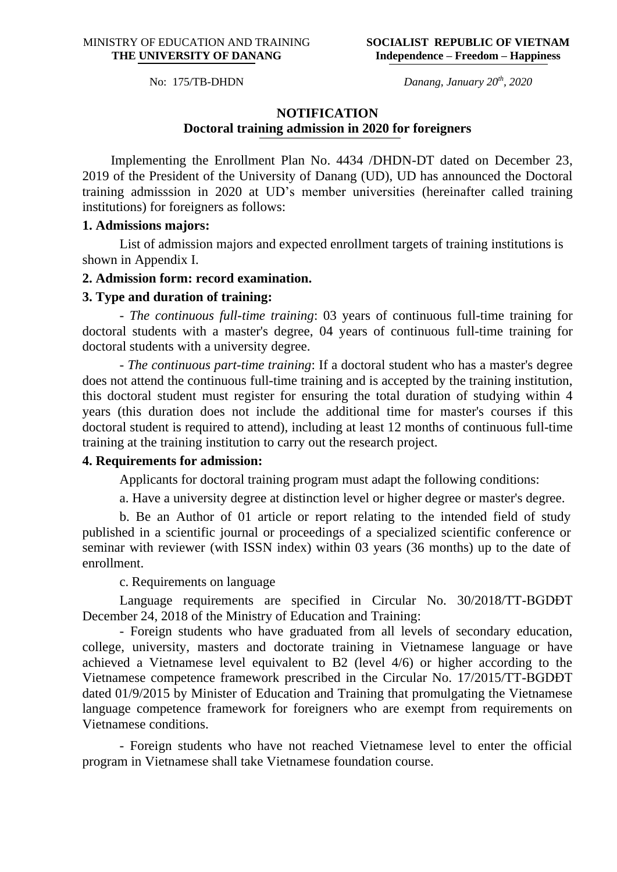No: 175/TB-DHDN

*Danang, January 20th, 2020*

### **NOTIFICATION Doctoral training admission in 2020 for foreigners**

Implementing the Enrollment Plan No. 4434 /DHDN-DT dated on December 23, 2019 of the President of the University of Danang (UD), UD has announced the Doctoral training admisssion in 2020 at UD's member universities (hereinafter called training institutions) for foreigners as follows:

#### **1. Admissions majors:**

List of admission majors and expected enrollment targets of training institutions is shown in Appendix I.

### **2. Admission form: record examination.**

#### **3. Type and duration of training:**

- *The continuous full-time training*: 03 years of continuous full-time training for doctoral students with a master's degree, 04 years of continuous full-time training for doctoral students with a university degree.

- *The continuous part-time training*: If a doctoral student who has a master's degree does not attend the continuous full-time training and is accepted by the training institution, this doctoral student must register for ensuring the total duration of studying within 4 years (this duration does not include the additional time for master's courses if this doctoral student is required to attend), including at least 12 months of continuous full-time training at the training institution to carry out the research project.

### **4. Requirements for admission:**

Applicants for doctoral training program must adapt the following conditions:

a. Have a university degree at distinction level or higher degree or master's degree.

b. Be an Author of 01 article or report relating to the intended field of study published in a scientific journal or proceedings of a specialized scientific conference or seminar with reviewer (with ISSN index) within 03 years (36 months) up to the date of enrollment.

#### c. Requirements on language

Language requirements are specified in Circular No. 30/2018/TT-BGDĐT December 24, 2018 of the Ministry of Education and Training:

- Foreign students who have graduated from all levels of secondary education, college, university, masters and doctorate training in Vietnamese language or have achieved a Vietnamese level equivalent to B2 (level 4/6) or higher according to the Vietnamese competence framework prescribed in the Circular No. 17/2015/TT-BGDĐT dated 01/9/2015 by Minister of Education and Training that promulgating the Vietnamese language competence framework for foreigners who are exempt from requirements on Vietnamese conditions.

- Foreign students who have not reached Vietnamese level to enter the official program in Vietnamese shall take Vietnamese foundation course.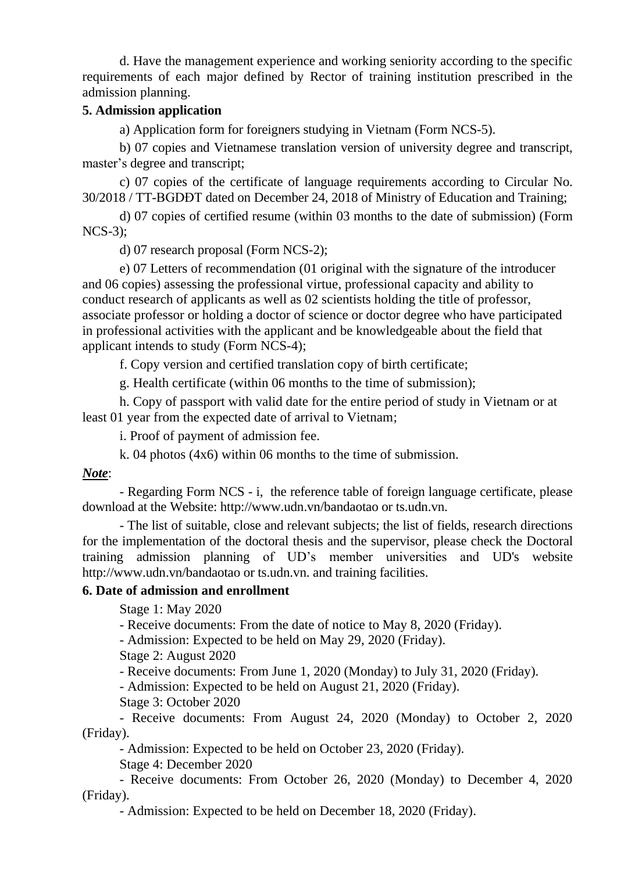d. Have the management experience and working seniority according to the specific requirements of each major defined by Rector of training institution prescribed in the admission planning.

### **5. Admission application**

a) Application form for foreigners studying in Vietnam (Form NCS-5).

b) 07 copies and Vietnamese translation version of university degree and transcript, master's degree and transcript;

c) 07 copies of the certificate of language requirements according to Circular No. 30/2018 / TT-BGDĐT dated on December 24, 2018 of Ministry of Education and Training;

d) 07 copies of certified resume (within 03 months to the date of submission) (Form NCS-3);

d) 07 research proposal (Form NCS-2);

e) 07 Letters of recommendation (01 original with the signature of the introducer and 06 copies) assessing the professional virtue, professional capacity and ability to conduct research of applicants as well as 02 scientists holding the title of professor, associate professor or holding a doctor of science or doctor degree who have participated in professional activities with the applicant and be knowledgeable about the field that applicant intends to study (Form NCS-4);

f. Copy version and certified translation copy of birth certificate;

g. Health certificate (within 06 months to the time of submission);

h. Copy of passport with valid date for the entire period of study in Vietnam or at least 01 year from the expected date of arrival to Vietnam;

i. Proof of payment of admission fee.

k. 04 photos (4x6) within 06 months to the time of submission.

### *Note*:

- Regarding Form NCS - i, the reference table of foreign language certificate, please download at the Website: http://www.udn.vn/bandaotao or ts.udn.vn.

- The list of suitable, close and relevant subjects; the list of fields, research directions for the implementation of the doctoral thesis and the supervisor, please check the Doctoral training admission planning of UD's member universities and UD's website http://www.udn.vn/bandaotao or ts.udn.vn. and training facilities.

### **6. Date of admission and enrollment**

Stage 1: May 2020

- Receive documents: From the date of notice to May 8, 2020 (Friday).

- Admission: Expected to be held on May 29, 2020 (Friday).

Stage 2: August 2020

- Receive documents: From June 1, 2020 (Monday) to July 31, 2020 (Friday).

- Admission: Expected to be held on August 21, 2020 (Friday).

Stage 3: October 2020

- Receive documents: From August 24, 2020 (Monday) to October 2, 2020 (Friday).

- Admission: Expected to be held on October 23, 2020 (Friday).

Stage 4: December 2020

- Receive documents: From October 26, 2020 (Monday) to December 4, 2020 (Friday).

- Admission: Expected to be held on December 18, 2020 (Friday).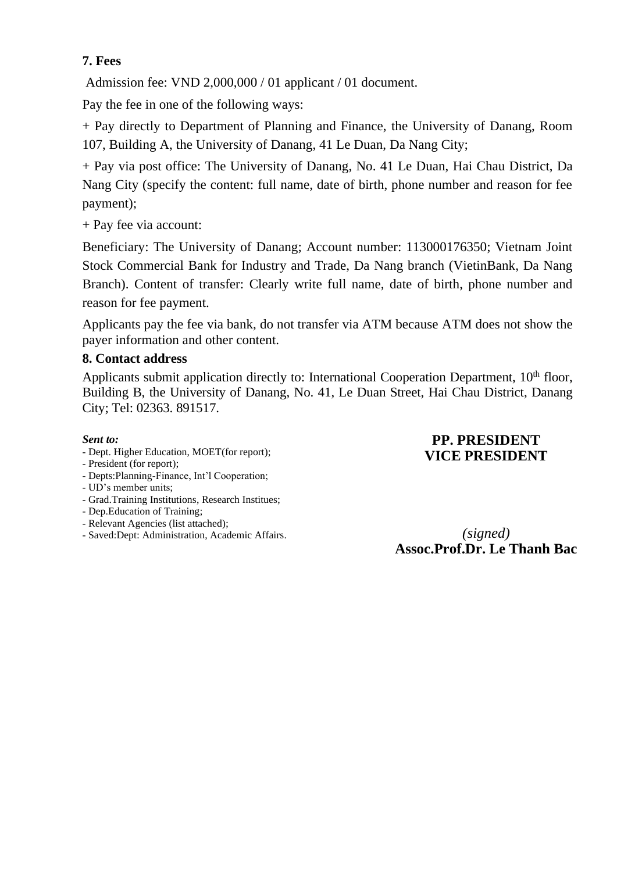### **7. Fees**

Admission fee: VND 2,000,000 / 01 applicant / 01 document.

Pay the fee in one of the following ways:

+ Pay directly to Department of Planning and Finance, the University of Danang, Room 107, Building A, the University of Danang, 41 Le Duan, Da Nang City;

+ Pay via post office: The University of Danang, No. 41 Le Duan, Hai Chau District, Da Nang City (specify the content: full name, date of birth, phone number and reason for fee payment);

+ Pay fee via account:

Beneficiary: The University of Danang; Account number: 113000176350; Vietnam Joint Stock Commercial Bank for Industry and Trade, Da Nang branch (VietinBank, Da Nang Branch). Content of transfer: Clearly write full name, date of birth, phone number and reason for fee payment.

Applicants pay the fee via bank, do not transfer via ATM because ATM does not show the payer information and other content.

### **8. Contact address**

Applicants submit application directly to: International Cooperation Department, 10<sup>th</sup> floor, Building B, the University of Danang, No. 41, Le Duan Street, Hai Chau District, Danang City; Tel: 02363. 891517.

#### *Sent to:*

- Dept. Higher Education, MOET(for report);

#### - President (for report);

- Depts:Planning-Finance, Int'l Cooperation;
- UD's member units;
- Grad.Training Institutions, Research Institues;
- Dep.Education of Training;
- Relevant Agencies (list attached);
- Saved:Dept: Administration, Academic Affairs.

## **PP. PRESIDENT VICE PRESIDENT**

*(signed)* **Assoc.Prof.Dr. Le Thanh Bac**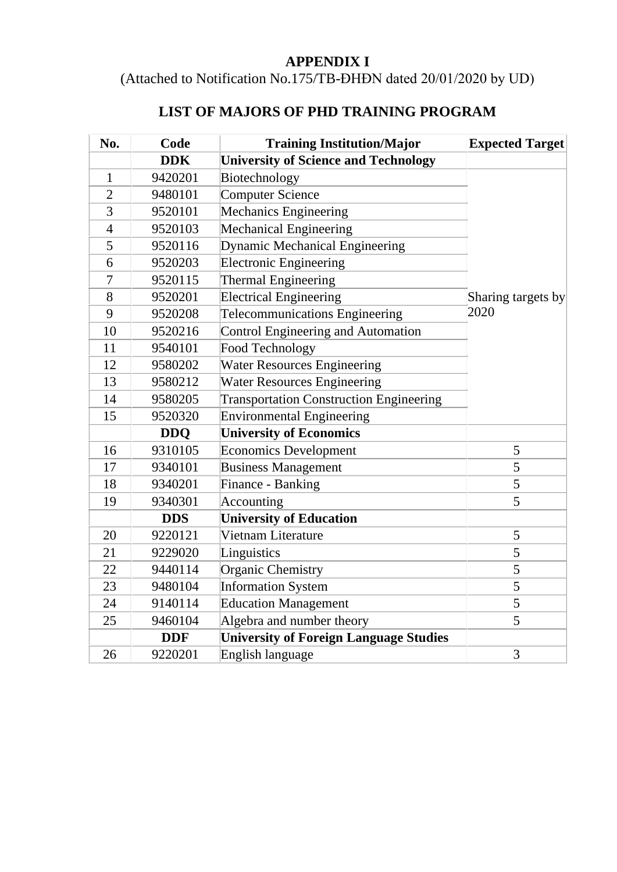## **APPENDIX I**

(Attached to Notification No.175/TB-ĐHĐN dated 20/01/2020 by UD)

# **LIST OF MAJORS OF PHD TRAINING PROGRAM**

| No.            | Code       | <b>Training Institution/Major</b>              | <b>Expected Target</b> |
|----------------|------------|------------------------------------------------|------------------------|
|                | <b>DDK</b> | <b>University of Science and Technology</b>    |                        |
| 1              | 9420201    | Biotechnology                                  |                        |
| $\overline{2}$ | 9480101    | <b>Computer Science</b>                        |                        |
| 3              | 9520101    | <b>Mechanics Engineering</b>                   |                        |
| $\overline{4}$ | 9520103    | <b>Mechanical Engineering</b>                  |                        |
| 5              | 9520116    | <b>Dynamic Mechanical Engineering</b>          |                        |
| 6              | 9520203    | <b>Electronic Engineering</b>                  |                        |
| $\overline{7}$ | 9520115    | <b>Thermal Engineering</b>                     |                        |
| 8              | 9520201    | <b>Electrical Engineering</b>                  | Sharing targets by     |
| 9              | 9520208    | Telecommunications Engineering                 | 2020                   |
| 10             | 9520216    | Control Engineering and Automation             |                        |
| 11             | 9540101    | <b>Food Technology</b>                         |                        |
| 12             | 9580202    | <b>Water Resources Engineering</b>             |                        |
| 13             | 9580212    | <b>Water Resources Engineering</b>             |                        |
| 14             | 9580205    | <b>Transportation Construction Engineering</b> |                        |
| 15             | 9520320    | <b>Environmental Engineering</b>               |                        |
|                | <b>DDO</b> | <b>University of Economics</b>                 |                        |
| 16             | 9310105    | <b>Economics Development</b>                   | 5                      |
| 17             | 9340101    | <b>Business Management</b>                     | 5                      |
| 18             | 9340201    | Finance - Banking                              | 5                      |
| 19             | 9340301    | Accounting                                     | 5                      |
|                | <b>DDS</b> | <b>University of Education</b>                 |                        |
| 20             | 9220121    | Vietnam Literature                             | 5                      |
| 21             | 9229020    | Linguistics                                    | 5                      |
| 22             | 9440114    | <b>Organic Chemistry</b>                       | 5                      |
| 23             | 9480104    | <b>Information System</b>                      | 5                      |
| 24             | 9140114    | <b>Education Management</b>                    | 5                      |
| 25             | 9460104    | Algebra and number theory                      | 5                      |
|                | <b>DDF</b> | <b>University of Foreign Language Studies</b>  |                        |
| 26             | 9220201    | English language                               | 3                      |